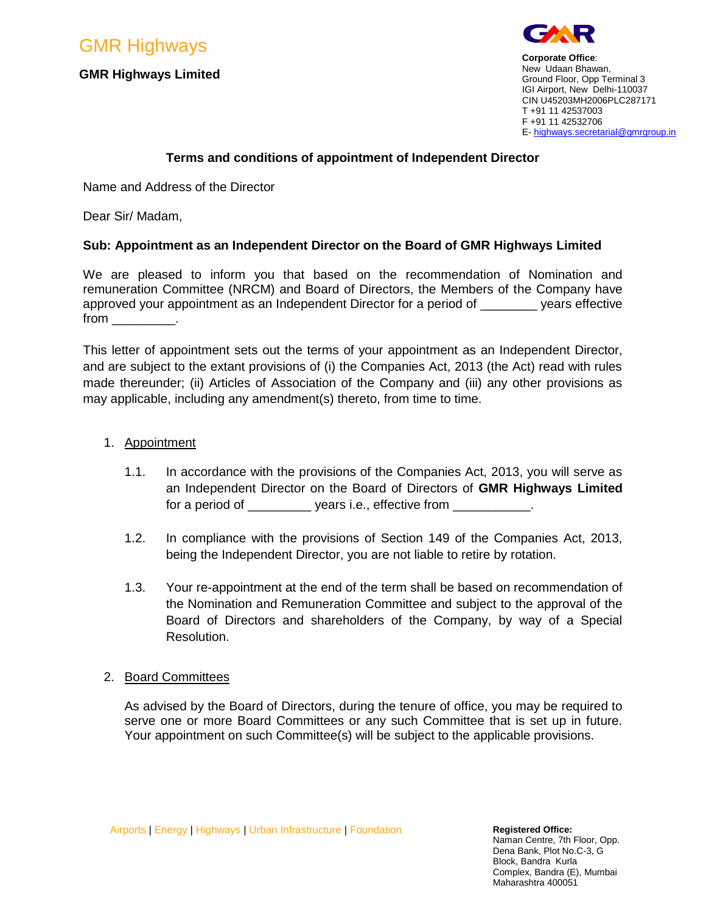GMR Highways

# **GMR Highways Limited**



**Corporate Office**: New Udaan Bhawan, Ground Floor, Opp Terminal 3 IGI Airport, New Delhi-110037 CIN U45203MH2006PLC287171 T +91 11 42537003 F +91 11 42532706 E- [highways.secretarial@gmrgroup.in](mailto:highways.secretarial@gmrgroup.in)

# **Terms and conditions of appointment of Independent Director**

Name and Address of the Director

Dear Sir/ Madam,

# **Sub: Appointment as an Independent Director on the Board of GMR Highways Limited**

We are pleased to inform you that based on the recommendation of Nomination and remuneration Committee (NRCM) and Board of Directors, the Members of the Company have approved your appointment as an Independent Director for a period of example vears effective  $from$   $\_\_\_\_\_\_\_\$ .

This letter of appointment sets out the terms of your appointment as an Independent Director, and are subject to the extant provisions of (i) the Companies Act, 2013 (the Act) read with rules made thereunder; (ii) Articles of Association of the Company and (iii) any other provisions as may applicable, including any amendment(s) thereto, from time to time.

## 1. Appointment

- 1.1. In accordance with the provisions of the Companies Act, 2013, you will serve as an Independent Director on the Board of Directors of **GMR Highways Limited**  for a period of \_\_\_\_\_\_\_\_\_\_\_ years i.e., effective from \_\_\_\_\_\_\_\_\_\_\_
- 1.2. In compliance with the provisions of Section 149 of the Companies Act, 2013, being the Independent Director, you are not liable to retire by rotation.
- 1.3. Your re-appointment at the end of the term shall be based on recommendation of the Nomination and Remuneration Committee and subject to the approval of the Board of Directors and shareholders of the Company, by way of a Special Resolution.

# 2. Board Committees

As advised by the Board of Directors, during the tenure of office, you may be required to serve one or more Board Committees or any such Committee that is set up in future. Your appointment on such Committee(s) will be subject to the applicable provisions.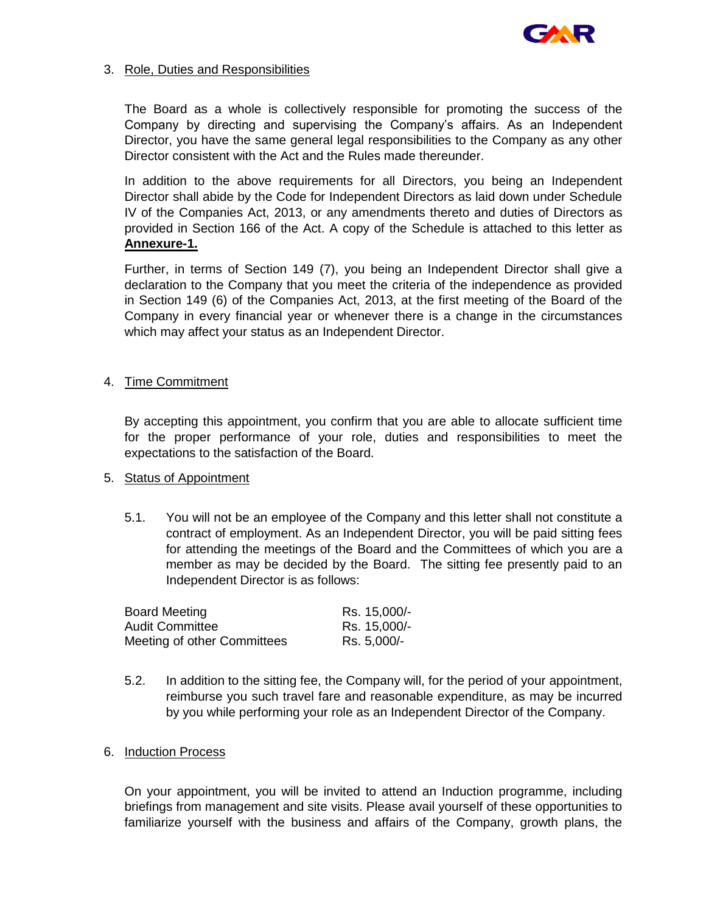

### 3. Role, Duties and Responsibilities

The Board as a whole is collectively responsible for promoting the success of the Company by directing and supervising the Company's affairs. As an Independent Director, you have the same general legal responsibilities to the Company as any other Director consistent with the Act and the Rules made thereunder.

In addition to the above requirements for all Directors, you being an Independent Director shall abide by the Code for Independent Directors as laid down under Schedule IV of the Companies Act, 2013, or any amendments thereto and duties of Directors as provided in Section 166 of the Act. A copy of the Schedule is attached to this letter as **Annexure-1.**

Further, in terms of Section 149 (7), you being an Independent Director shall give a declaration to the Company that you meet the criteria of the independence as provided in Section 149 (6) of the Companies Act, 2013, at the first meeting of the Board of the Company in every financial year or whenever there is a change in the circumstances which may affect your status as an Independent Director.

## 4. Time Commitment

By accepting this appointment, you confirm that you are able to allocate sufficient time for the proper performance of your role, duties and responsibilities to meet the expectations to the satisfaction of the Board.

### 5. Status of Appointment

5.1. You will not be an employee of the Company and this letter shall not constitute a contract of employment. As an Independent Director, you will be paid sitting fees for attending the meetings of the Board and the Committees of which you are a member as may be decided by the Board. The sitting fee presently paid to an Independent Director is as follows:

| <b>Board Meeting</b>        | Rs. 15,000/- |
|-----------------------------|--------------|
| <b>Audit Committee</b>      | Rs. 15,000/- |
| Meeting of other Committees | Rs. 5,000/-  |

- 5.2. In addition to the sitting fee, the Company will, for the period of your appointment, reimburse you such travel fare and reasonable expenditure, as may be incurred by you while performing your role as an Independent Director of the Company.
- 6. Induction Process

On your appointment, you will be invited to attend an Induction programme, including briefings from management and site visits. Please avail yourself of these opportunities to familiarize yourself with the business and affairs of the Company, growth plans, the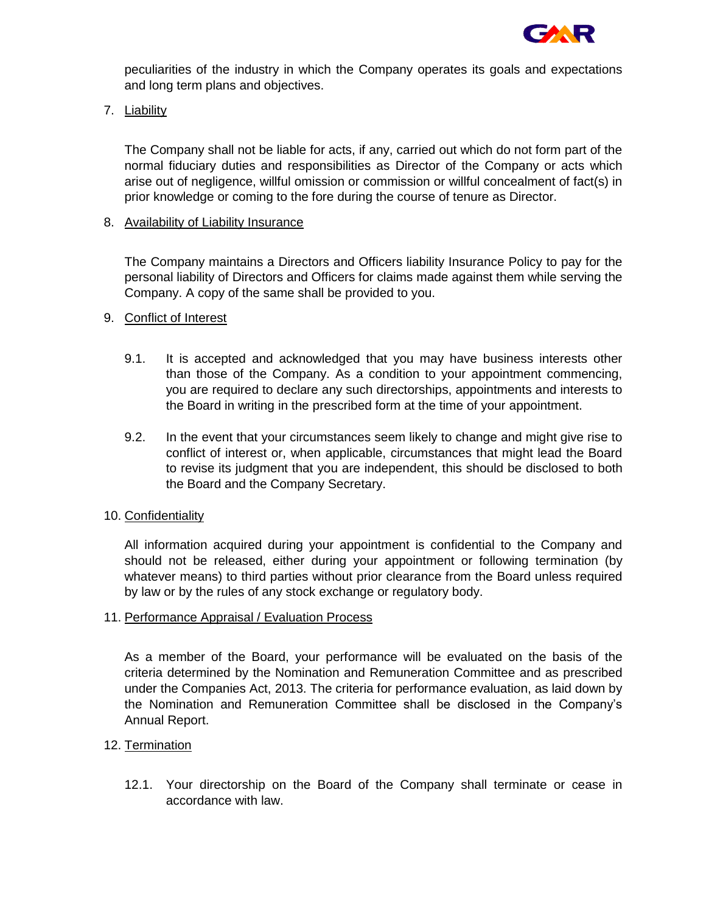

peculiarities of the industry in which the Company operates its goals and expectations and long term plans and objectives.

7. Liability

The Company shall not be liable for acts, if any, carried out which do not form part of the normal fiduciary duties and responsibilities as Director of the Company or acts which arise out of negligence, willful omission or commission or willful concealment of fact(s) in prior knowledge or coming to the fore during the course of tenure as Director.

## 8. Availability of Liability Insurance

The Company maintains a Directors and Officers liability Insurance Policy to pay for the personal liability of Directors and Officers for claims made against them while serving the Company. A copy of the same shall be provided to you.

## 9. Conflict of Interest

- 9.1. It is accepted and acknowledged that you may have business interests other than those of the Company. As a condition to your appointment commencing, you are required to declare any such directorships, appointments and interests to the Board in writing in the prescribed form at the time of your appointment.
- 9.2. In the event that your circumstances seem likely to change and might give rise to conflict of interest or, when applicable, circumstances that might lead the Board to revise its judgment that you are independent, this should be disclosed to both the Board and the Company Secretary.

### 10. Confidentiality

All information acquired during your appointment is confidential to the Company and should not be released, either during your appointment or following termination (by whatever means) to third parties without prior clearance from the Board unless required by law or by the rules of any stock exchange or regulatory body.

### 11. Performance Appraisal / Evaluation Process

As a member of the Board, your performance will be evaluated on the basis of the criteria determined by the Nomination and Remuneration Committee and as prescribed under the Companies Act, 2013. The criteria for performance evaluation, as laid down by the Nomination and Remuneration Committee shall be disclosed in the Company's Annual Report.

# 12. Termination

12.1. Your directorship on the Board of the Company shall terminate or cease in accordance with law.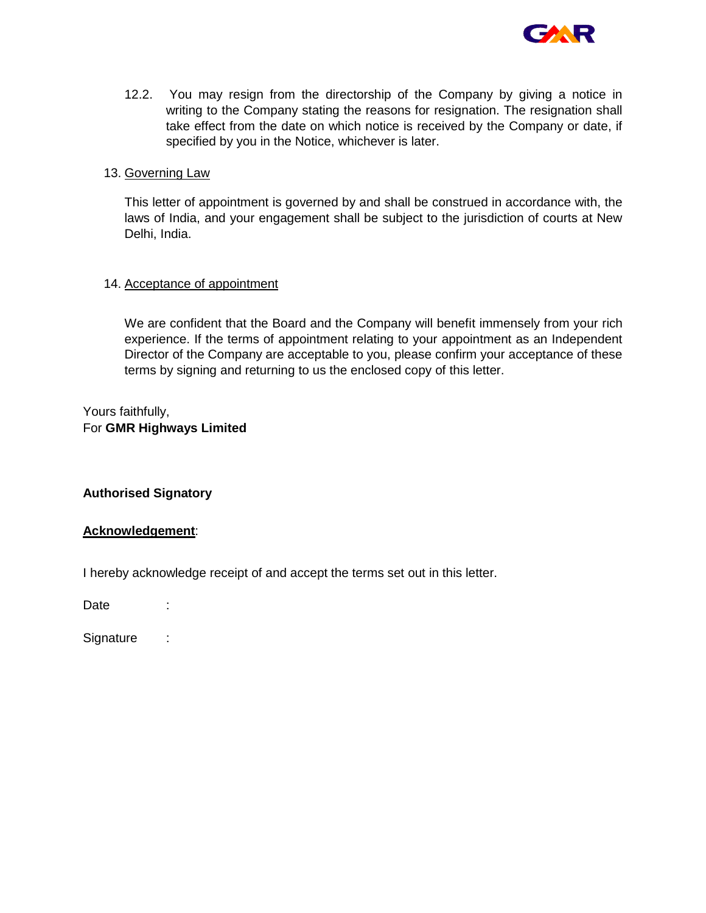

12.2. You may resign from the directorship of the Company by giving a notice in writing to the Company stating the reasons for resignation. The resignation shall take effect from the date on which notice is received by the Company or date, if specified by you in the Notice, whichever is later.

#### 13. Governing Law

This letter of appointment is governed by and shall be construed in accordance with, the laws of India, and your engagement shall be subject to the jurisdiction of courts at New Delhi, India.

### 14. Acceptance of appointment

We are confident that the Board and the Company will benefit immensely from your rich experience. If the terms of appointment relating to your appointment as an Independent Director of the Company are acceptable to you, please confirm your acceptance of these terms by signing and returning to us the enclosed copy of this letter.

Yours faithfully, For **GMR Highways Limited**

### **Authorised Signatory**

### **Acknowledgement**:

I hereby acknowledge receipt of and accept the terms set out in this letter.

Date :

Signature :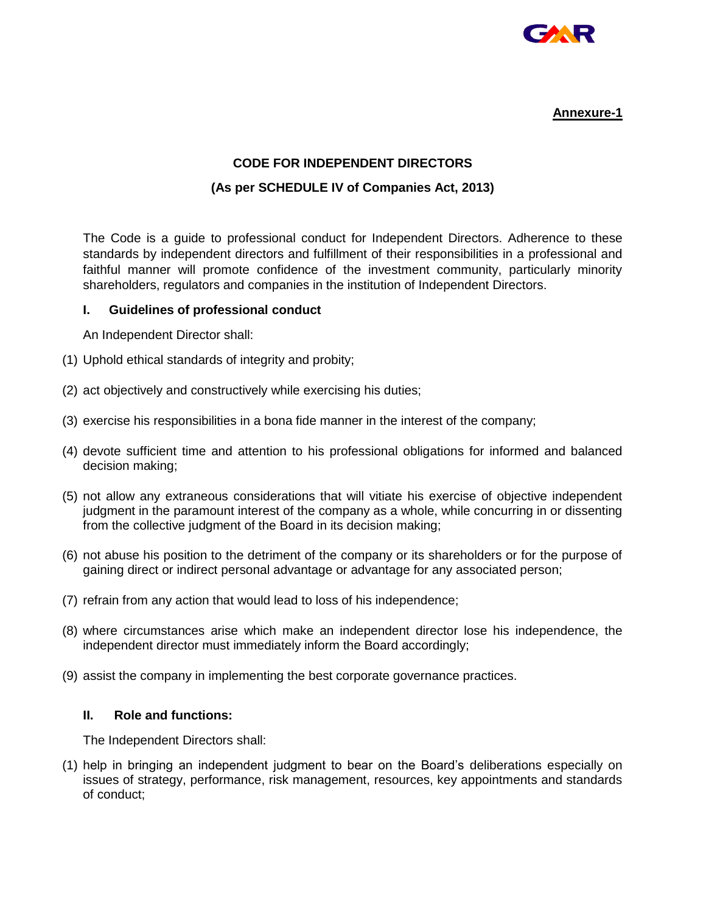

## **Annexure-1**

# **CODE FOR INDEPENDENT DIRECTORS**

## **(As per SCHEDULE IV of Companies Act, 2013)**

The Code is a guide to professional conduct for Independent Directors. Adherence to these standards by independent directors and fulfillment of their responsibilities in a professional and faithful manner will promote confidence of the investment community, particularly minority shareholders, regulators and companies in the institution of Independent Directors.

### **I. Guidelines of professional conduct**

An Independent Director shall:

- (1) Uphold ethical standards of integrity and probity;
- (2) act objectively and constructively while exercising his duties;
- (3) exercise his responsibilities in a bona fide manner in the interest of the company;
- (4) devote sufficient time and attention to his professional obligations for informed and balanced decision making;
- (5) not allow any extraneous considerations that will vitiate his exercise of objective independent judgment in the paramount interest of the company as a whole, while concurring in or dissenting from the collective judgment of the Board in its decision making;
- (6) not abuse his position to the detriment of the company or its shareholders or for the purpose of gaining direct or indirect personal advantage or advantage for any associated person;
- (7) refrain from any action that would lead to loss of his independence;
- (8) where circumstances arise which make an independent director lose his independence, the independent director must immediately inform the Board accordingly;
- (9) assist the company in implementing the best corporate governance practices.

### **II. Role and functions:**

The Independent Directors shall:

(1) help in bringing an independent judgment to bear on the Board's deliberations especially on issues of strategy, performance, risk management, resources, key appointments and standards of conduct;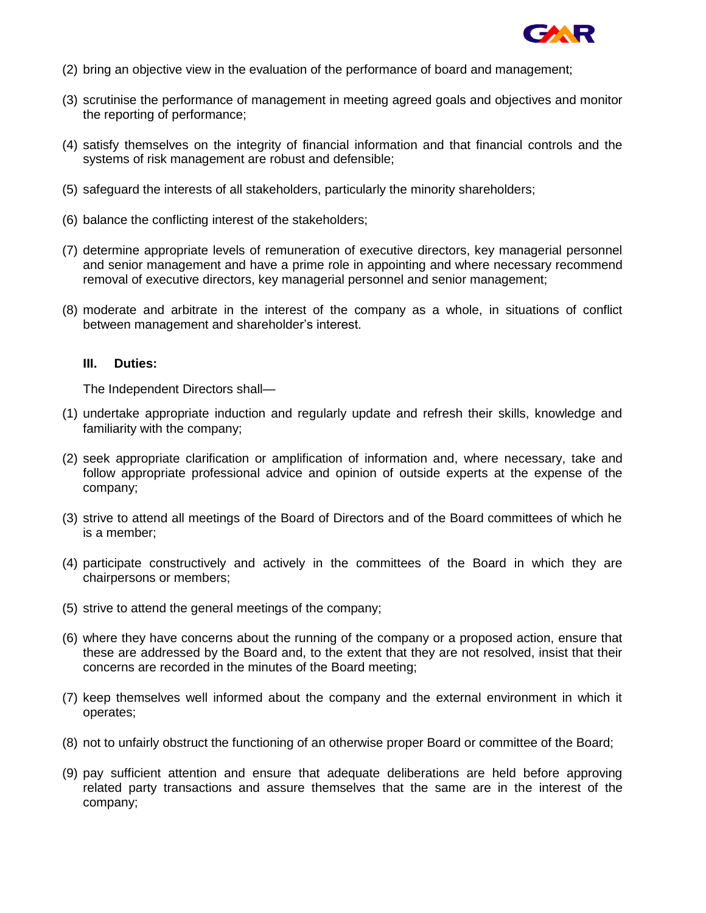

- (2) bring an objective view in the evaluation of the performance of board and management;
- (3) scrutinise the performance of management in meeting agreed goals and objectives and monitor the reporting of performance;
- (4) satisfy themselves on the integrity of financial information and that financial controls and the systems of risk management are robust and defensible;
- (5) safeguard the interests of all stakeholders, particularly the minority shareholders;
- (6) balance the conflicting interest of the stakeholders;
- (7) determine appropriate levels of remuneration of executive directors, key managerial personnel and senior management and have a prime role in appointing and where necessary recommend removal of executive directors, key managerial personnel and senior management;
- (8) moderate and arbitrate in the interest of the company as a whole, in situations of conflict between management and shareholder's interest.

#### **III. Duties:**

The Independent Directors shall—

- (1) undertake appropriate induction and regularly update and refresh their skills, knowledge and familiarity with the company;
- (2) seek appropriate clarification or amplification of information and, where necessary, take and follow appropriate professional advice and opinion of outside experts at the expense of the company;
- (3) strive to attend all meetings of the Board of Directors and of the Board committees of which he is a member;
- (4) participate constructively and actively in the committees of the Board in which they are chairpersons or members;
- (5) strive to attend the general meetings of the company;
- (6) where they have concerns about the running of the company or a proposed action, ensure that these are addressed by the Board and, to the extent that they are not resolved, insist that their concerns are recorded in the minutes of the Board meeting;
- (7) keep themselves well informed about the company and the external environment in which it operates;
- (8) not to unfairly obstruct the functioning of an otherwise proper Board or committee of the Board;
- (9) pay sufficient attention and ensure that adequate deliberations are held before approving related party transactions and assure themselves that the same are in the interest of the company;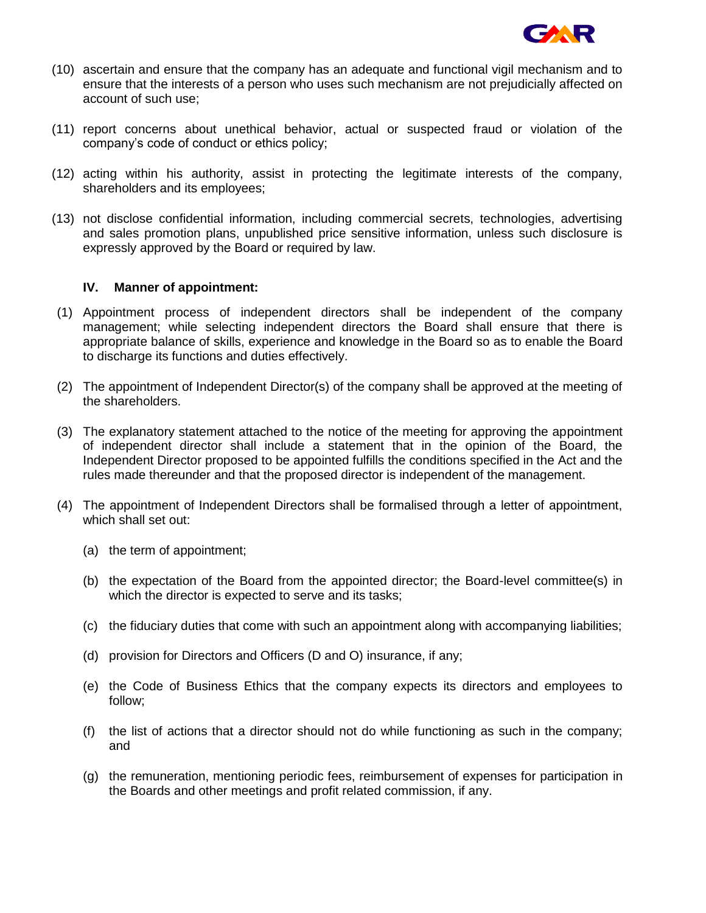

- (10) ascertain and ensure that the company has an adequate and functional vigil mechanism and to ensure that the interests of a person who uses such mechanism are not prejudicially affected on account of such use;
- (11) report concerns about unethical behavior, actual or suspected fraud or violation of the company's code of conduct or ethics policy;
- (12) acting within his authority, assist in protecting the legitimate interests of the company, shareholders and its employees;
- (13) not disclose confidential information, including commercial secrets, technologies, advertising and sales promotion plans, unpublished price sensitive information, unless such disclosure is expressly approved by the Board or required by law.

#### **IV. Manner of appointment:**

- (1) Appointment process of independent directors shall be independent of the company management; while selecting independent directors the Board shall ensure that there is appropriate balance of skills, experience and knowledge in the Board so as to enable the Board to discharge its functions and duties effectively.
- (2) The appointment of Independent Director(s) of the company shall be approved at the meeting of the shareholders.
- (3) The explanatory statement attached to the notice of the meeting for approving the appointment of independent director shall include a statement that in the opinion of the Board, the Independent Director proposed to be appointed fulfills the conditions specified in the Act and the rules made thereunder and that the proposed director is independent of the management.
- (4) The appointment of Independent Directors shall be formalised through a letter of appointment, which shall set out:
	- (a) the term of appointment;
	- (b) the expectation of the Board from the appointed director; the Board-level committee(s) in which the director is expected to serve and its tasks;
	- (c) the fiduciary duties that come with such an appointment along with accompanying liabilities;
	- (d) provision for Directors and Officers (D and O) insurance, if any;
	- (e) the Code of Business Ethics that the company expects its directors and employees to follow;
	- (f) the list of actions that a director should not do while functioning as such in the company; and
	- (g) the remuneration, mentioning periodic fees, reimbursement of expenses for participation in the Boards and other meetings and profit related commission, if any.